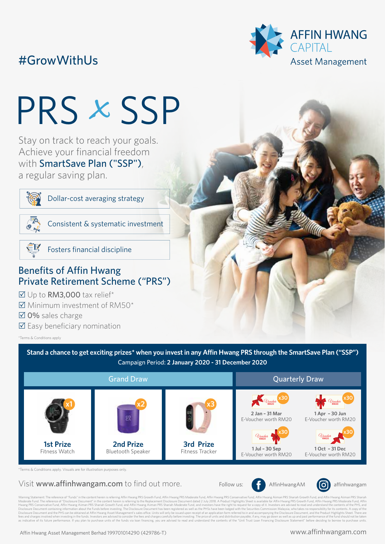## #GrowWithUs



# PRS *x* SSP

 Stay on track to reach your goals. Achieve your financial freedom with **SmartSave Plan ("SSP")**, a regular saving plan.



Dollar-cost averaging strategy



Consistent & systematic investment



Fosters financial discipline

### **Benefits of Affin Hwang** Private Retirement Scheme ("PRS")

⊠ Up to RM3,000 tax relief\*

- $\overline{\mathsf{M}}$  Minimum investment of RM50\*
- 0% sales charge
- $\boxtimes$  Easy beneficiary nomination

\*Terms & Conditions apply

**Stand a chance to get exciting prizes\* when you invest in any Affin Hwang PRS through the SmartSave Plan ("SSP")** Campaign Period: **2 January 2020 - 31 December 2020**





\*Terms & Conditions apply. Visuals are for illustration purposes only.

#### Visit www.affinhwangam.com to find out more. Follow us:  $\left( f \right)$  AffinHwangAM  $\left( \bigcirc \right)$  affinhwangam

**2 Jan – 31 Mar** E-Voucher worth RM20

**1 Jul – 30 Sep** E-Voucher worth RM20

Voucher **RM20**

Voucher **RM20 x30 x30**



ning Statement: The reference of "Funds" in the content herein is referring Affin Hwang PRS Growth Fund, Affin Hwang PRS Moderate Fund, Affin Hwang PRS Conservative Fund, Affin Hwang PRS Charam PRS Shariah Growth Fund, and Moderate Fund. The reference of "Disclosure Document" in the content herein is referring to the Replacement Disclosure Document dated 2 July 2018. A Product Highlights Sheet is available for Affin Hwang PRS Growth Fund, Af

**3rd Prize** Fitness Tracker

**1 Apr – 30 Jun** E-Voucher worth RM20

**1 Oct – 31 Dec** E-Voucher worth RM20

Voucher **RM20**

**x30 x30**

Voucher **RM20**